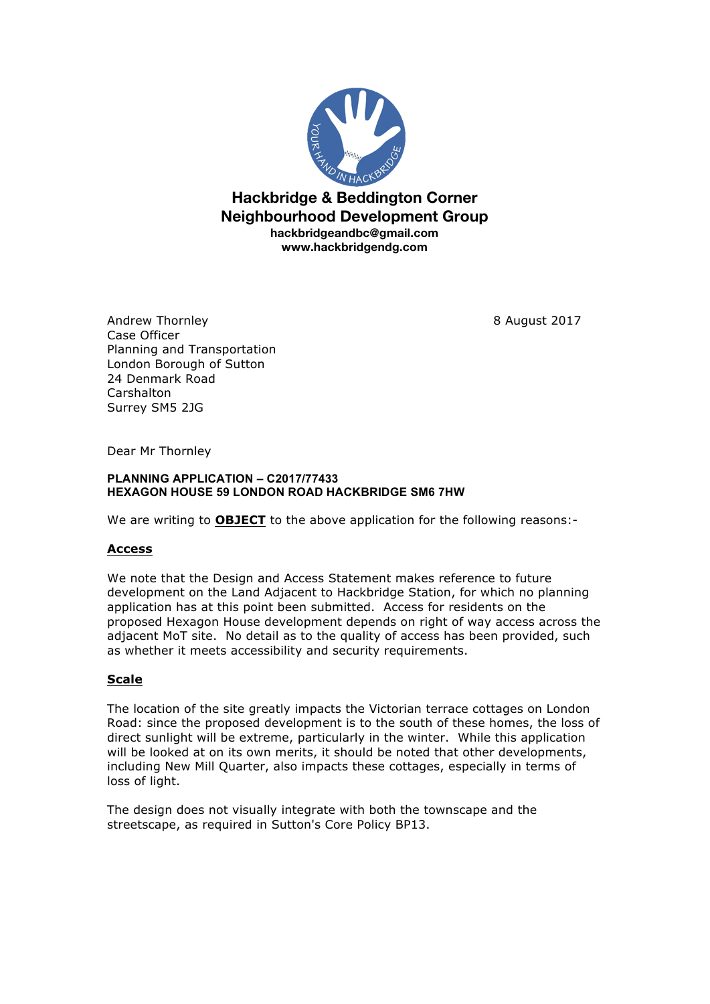

**Hackbridge & Beddington Corner Neighbourhood Development Group hackbridgeandbc@gmail.com www.hackbridgendg.com**

Andrew Thornley **8** August 2017 Case Officer Planning and Transportation London Borough of Sutton 24 Denmark Road **Carshalton** Surrey SM5 2JG

Dear Mr Thornley

#### **PLANNING APPLICATION – C2017/77433 HEXAGON HOUSE 59 LONDON ROAD HACKBRIDGE SM6 7HW**

We are writing to **OBJECT** to the above application for the following reasons:-

# **Access**

We note that the Design and Access Statement makes reference to future development on the Land Adjacent to Hackbridge Station, for which no planning application has at this point been submitted. Access for residents on the proposed Hexagon House development depends on right of way access across the adjacent MoT site. No detail as to the quality of access has been provided, such as whether it meets accessibility and security requirements.

### **Scale**

The location of the site greatly impacts the Victorian terrace cottages on London Road: since the proposed development is to the south of these homes, the loss of direct sunlight will be extreme, particularly in the winter. While this application will be looked at on its own merits, it should be noted that other developments, including New Mill Quarter, also impacts these cottages, especially in terms of loss of light.

The design does not visually integrate with both the townscape and the streetscape, as required in Sutton's Core Policy BP13.